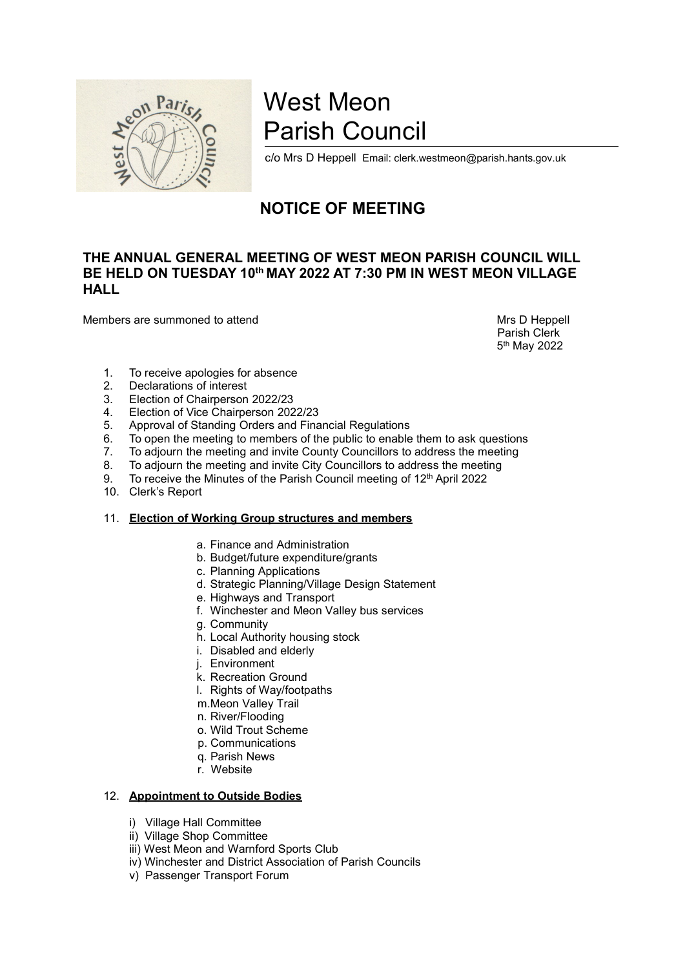

## West Meon<br>Parish Council<br>c/o Mrs D Heppell Email: clerk.westmeon@parish.hants.gov.uk West Meon<br>
Parish Council<br>
<sub>c/o Mrs D Heppell Email: clerk.westmeon@parish.hants.gov.uk<br>
NOTICE OF MEETING</sub> West Meon<br>Parish Council<br>C/o Mrs D Heppell Email: clerk.westmeon@parish.hants.gov.uk<br>NOTICE OF MEETING

## West Meon<br>
Parish Council<br>
Co Mrs D Heppell Email: clerk.westmeon@parish.hants.gov.uk<br>
NOTICE OF MEETING<br>
EETING OF WEST MEON PARISH COUNCIL WILL<br>
" MAY 2022 AT 7:30 PM IN WEST MEON VILLAGE FOR PATT WEST MEON<br>
MEDIFIERENT COUNCIL<br>
THE ANNUAL GENERAL MEETING<br>
THE ANNUAL GENERAL MEETING OF WEST MEON PARISH COUNCIL WILL<br>
BE HELD ON TUESDAY 10<sup>th</sup> MAY 2022 AT 7:30 PM IN WEST MEON VILLAGE<br>
Members are summoned to West Meon<br>
Parish Council<br>
SAMES Dieppell Email: clerk.westmeon@parish.hants.gov.uk<br>
NOTICE OF MEETING<br>
BE HELD ON TUESDAY 10<sup>th</sup> MAY 2022 AT 7:30 PM IN WEST MEON VILLAGE<br>
Members are summoned to attend<br>
S<sup>AMES</sup> Dieppell<br> **HALL** West Meon<br>
Mrs D Heppell Email: derk westmeon@parish.hants.gov.uk<br>
MNS D Heppell Email: derk westmeon@parish.hants.gov.uk<br>
NOTICE OF MEETING<br>
THE ANNUAL GENERAL MEETING OF WEST MEON PARISH COUNCIL WILL<br>
MALL<br>
Members are s sh.hants.gov.uk<br>
DUNCIL WILL<br>
DN VILLAGE<br>
Mrs D Heppell<br>
Parish Clerk<br>
5<sup>th</sup> May 2022 n.hants.gov.uk<br> **UNCIL WILL<br>
N VILLAGE<br>
Ars** D Heppell<br>
Parish Clerk<br>
t<sup>h</sup> May 2022 **1. To receive apologies for absence**<br> **1. To receive apologies for absence**<br> **1. To receive apologies for absence**<br> **1. To receive apologies for absence**<br> **1. To receive apologies for absence**<br> **1. To receive apologies f** EXAMPLE STATISH COUNCIL<br>
YOUTHER STATISH COUNCIL<br>
YOUTHER STATISH COUNCIL<br>
YOUTHERE OF MEETING<br>
EANNUAL GENERAL MEETING OF WEST MEON PARISH COUNCIL WILL<br>
HELD ON TUESDAY 10<sup>th</sup> MAY 2022 AT 7:30 PM IN WEST MEON VILLAGE<br>
LL<br> Something the meeting and inviec Chairperson 2022/23<br>
3. Election of Chairperson 2022/23<br>
3. Election of Chairperson 2022/23<br>
3. Election of Chairperson 2022/23<br>
4. Election of Chairperson 2022/23<br>
4. Election of Chairpers 4. Election of Vice Chairperson 2022/23<br>
4. Election of Miss D Heppell Email: clerk.westmeon@parish.hants.gov.uk<br>
NOTICE OF MEETING<br>
EANNUAL GENERAL MEETING OF WEST MEON PARISH COUNCIL WILL<br>
HELD ON TUESDAY 10<sup>th</sup> MAY 20 **EXECUTE:**<br>
For Mrs D Heppell Email: derk.westmeon@parish.hants.gov.uk<br>
NOTICE OF MEETING<br>
NOTICE OF MEETING<br>
NOTICE OF WEST MEON PARISH COUNCIL WILL<br>
HELD ON TUESDAY 10<sup>th</sup> MAY 2022 AT 7:30 PM IN WEST MEON VILLAGE<br>
LL<br>
T FORE SEARCH WE DESCRIPT TO CONTROLL THE MEGANISED CONTROLL TO THE MEGANISED OF THE MANY 2022 AT 7:30 PM IN WEST MEON VILLAGE<br>
LE ANNUAL GENERAL MEETING OF WEST MEON PARISH COUNCIL WILL<br>
HELD ON TUESDAY 10<sup>th</sup> MAY 2022 AT 7 <sup>22</sup><br> **7. To adjourn the meeting of the meeting of the meeting Council Council WILL<br>
The MUVAL GENERAL MEETING OF WEST MEON PARISH COUNCIL WILL<br>
ILL<br>
ILL<br>
ILL<br>
To receive apologies for absence<br>
2. Declarations of interest<br> EXAMUAL GENERAL MEETING OF MEETING**<br> **EANNUAL GENERAL MEETING OF WEST MEON PARISH COUNCIL WILL**<br> **HELD ON TUESDAY 10<sup>th</sup> MAY 2022 AT 7:30 PM IN WEST MEON VILLAGE<br>
LL<br>
1. To receive apologies for absence<br>
1. To receive ap EXECUTE OF MEETING**<br> **EXECUTE ANNUAL GENERAL MEETING OF WEST MEON PARISH COUNCIL WILL<br>
HELD ON TUESDAY 10<sup>th</sup> MAY 2022 AT 7:30 PM IN WEST MEON VILLAGE<br>
LL<br>
thers are summoned to attend<br>
the material of the Parish Clerk<br> EXECUTE OF MEETING<br>
EXECUTING**<br> **HELD ON TUESDAY 10<sup>th</sup> MAY 2022 AT 7:30 PM IN WEST MEON VILL<br>
LL<br>
LL<br>
INDESSIGNT 10<sup>th</sup> MAY 2022 AT 7:30 PM IN WEST MEON VILL<br>
LL<br>
there are summoned to attend<br>
<sup>Mrs</sup> D He<br>
<sup>Parish Cl<br>
<sup>7**</sup></sup> **E ANNUAL GENERAL MEETING OF WEST MEON PARISH COUNCIL WILL<br>
HELD ON TUESDAY 10<sup>th</sup> MAY 2022 AT 7:30 PM IN WEST MEON VILLAGE<br>
LL<br>
LL<br>
thers are summoned to attend<br>
thers are summoned to attend<br>
thers are summoned to attend NERAL MEETING OF WEST MEON PARISH COUNCIL WILL**<br>
SDAY 10<sup>th</sup> MAY 2022 AT 7:30 PM IN WEST MEON VILLAGE<br>
ed to attend<br>
ed to attend<br>
ed to the the contract and the properties and the properties<br>
ologies for absence<br>
of inte NERAL MEETING OF WEST MEON PARTSH COUNCIL WILL<br>SDAY 10<sup>th</sup> MAY 2022 AT 7:30 PM IN WEST MEON VILLAGE<br>
ed to attend<br>
ed to attend<br>
for absence<br>
of interest<br>
ologies for absence<br>
of interest<br>
ologies for absence<br>
of interest<br> CONVINIMENT AND THE SURFACT THE CONVIDUATE THE CONVIDUATE of the set of the method of the main of the main of the main of the standarding Orders of the main of the main of the main of the main of the public to enable them Mrs D Heppell<br>
Mrs D Heppell<br>
Parish Clerk<br>
dolgies for absence<br>
difinerest<br>
difference 2022/23<br>
diarperson 2022/23<br>
da. Chairperson 2022/23<br>
da. Chairperson 2022/23<br>
thanding Orders and Financial Regulations<br>
in meeting a

5<sup>th</sup> May 2022

- 
- 
- 
- 
- 
- Mrs D Heppell<br>
Mrs D Heppell<br>
Parish Clerk<br>
dolnerest<br>
of Interest<br>
conclusters<br>
conclusters<br>
conclusters<br>
conclusters<br>
conclusters<br>
and Invite City Councillors to address the meting<br>
neerling and invite City Councillors t ed to attend<br>
Mrs D Heppell<br>
Parish Clerk<br>
Cologies for absence<br>
of interest<br>
final portest and Financial Regulations<br>
tanding Orders and Financial Regulations<br>
tanding Orders and Financial Regulations<br>
meeting and invite Parish Clerk<br>
Christeast<br>
Christeast<br>
Christeast<br>
Christeast<br>
Christeast<br>
Christeast<br>
Christeast<br>
Christeast<br>
Christeast<br>
Christeast<br>
Christeast<br>
Christeast<br>
Christeast<br>
Christeast<br>
Christeast<br>
Christeast<br>
Contribution Chr formerst<br>
formerstare<br>
formerstare<br>
of interest<br>
considerating Orders and Financial Regulations<br>
meeting of the public to enable them to ask questions<br>
meeting and invite Courty Councillors to address the meeting<br>
eneering ologies for absence<br>
of interest<br>
of interest<br>
cof Chairperson 2022/23<br>
ce Chairperson 2022/23<br>
tanding Orders and Financial Regulations<br>
meelting to members of the public to enable them to ask questions<br>
e meeting and inv of interest<br>of interest<br>of interest<br>orices of interest and Financial Regulations<br>tanding Orders and Financial Regulations<br>there imeeting of members of the public to enable them to ask questions<br>e meeting and invite Cuty Co of microscore.<br>
Indiperson 2022/23<br>
Indiperson 2022/23<br>
Interest<br>
Identify Orders and Financial Regulations<br>
Inneeding Orders and Financial Regulations<br>
Inneeding and invite Courty Councillors to address the meeting<br>
Inter of minitary and Toring the production of the public condigrers on 2022/23<br>
calcriare condigrers of the public to enable them to ask questions<br>
needing to members of the public to enable them to ask questions<br>
e meeting and merianding Orders and Financial Regulations<br>
and Financial Regulations<br>
tanding Orders and Financial Regulations<br>
in meeting and invite County Councillors to address the meeting<br>
in meeting and invite City Councillors to a between Framerical Regulations<br>
and any Orders and Financial Regulations<br>
e meeting to members of the public to enable them to ask questions<br>
e meeting and invite County Councillors to address the meeting<br>
e meeting and in meeting to members of the public to enable them to ask questions<br>neeling to members of the public to enable them to ask questions<br>meeting and invite Courty Councillors to address the meeting<br>Minutes of the Parish Council m
- be meeting and invite County Councillors to address the meeting<br>and invite County Councillors to address the meeting<br>and invite City Councillors to address the meeting<br>b meeting and invite City Councillors to address the m
- be meeting and invite City Councillors to address the meeting<br>energing and invite City Councillors to address the meeting<br>of 12<sup>m</sup> April 2022<br>1<br>The meeting Group structures and members<br>a. Finance and Administration<br>C. Plan
- <sup>2</sup> Monting Group Structures and members<br>
Minutes of the Parish Council meeting of 12<sup>m</sup> April 2022<br>
1<br> **Vorking Group structures and members**<br>
a. Finance and Administration<br>
b. Budget/future expenditure/grants<br>
c. Plighwa
- 

# 11. Election of Working Group structures and members<br>
a. Finance and Administration<br>
b. Budget/future expenditure/grants<br>
c. Planning Applications<br>
d. Strategic Planning/Village Design Statement<br>
d. Highways and Transport<br>

- 
- 
- 
- 
- 
- 
- 
- 
- 
- 
- 
- 
- 
- 
- 
- 
- 
- 

- 
- 
- 
- **a.** Finance and Administration<br>
a. Finance and Administration<br>
c. Planning Applications<br>
d. Strategic Planning/Village Design Statement<br>
e. Highways and Transport<br>
f. Vincenser and Meon Valley bus services<br>
g. Community<br> a. Finance and Administration<br>
b. Budget/future expenditure/grants<br>
c. Planning Applications<br>
d. Strategic Planning/Village Design Statement<br>
e. Highways and Transport<br>
f. Winchester and Meon Valley bus services<br>
g. Commun in: Budget/future expenditture/grants<br>
c. Planning Applications<br>
d. Strategic Planning/Village Design Statement<br>
e. Higitways and Transport<br>
f. Winchester and Meon Valley bus services<br>
g. Community<br>
D. Local Authority hous ince Channel Associates Channel Associates Channel Channel Channel Channel Channel Channel Channel Channel Channel Channel Channel Channel Channel Channel Channel Channel Channel Channel Channel Channel Channel Channel Cha d. Strategic Planning/Village Design Statement<br>
e. Highways and Transport<br>
f. Winchester and Meon Valley bus services<br>
g. Community<br>
L. Cocal Authority housing stock<br>
i. Disabled and elderly<br>
i. Environment<br>
k. Recreation
-